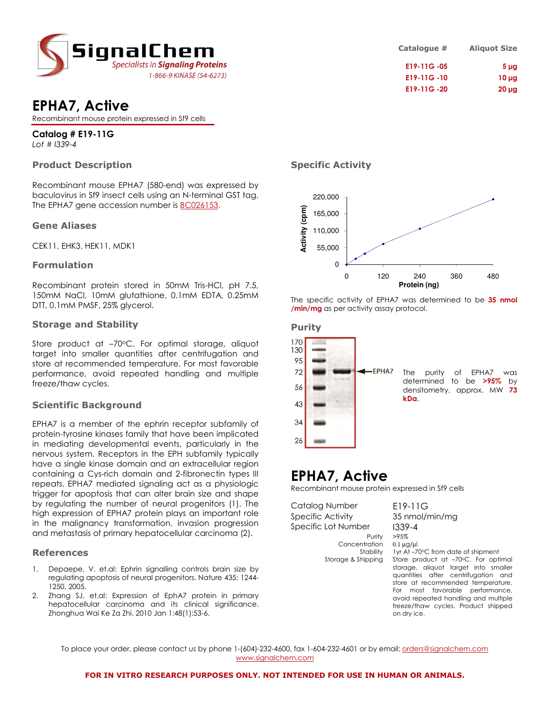

| <b>EPHA7, Active</b> |  |
|----------------------|--|
|----------------------|--|

Recombinant mouse protein expressed in Sf9 cells

### Catalog # E19-11G Lot # I339-4

### Product Description

Recombinant mouse EPHA7 (580-end) was expressed by baculovirus in Sf9 insect cells using an N-terminal GST tag. The EPHA7 gene accession number is **BC026153**.

### Gene Aliases

CEK11, EHK3, HEK11, MDK1

### Formulation

Recombinant protein stored in 50mM Tris-HCl, pH 7.5, 150mM NaCl, 10mM glutathione, 0.1mM EDTA, 0.25mM DTT, 0.1mM PMSF, 25% glycerol.

### Storage and Stability

Store product at  $-70^{\circ}$ C. For optimal storage, aliquot target into smaller quantities after centrifugation and store at recommended temperature. For most favorable performance, avoid repeated handling and multiple freeze/thaw cycles.

### Scientific Background

EPHA7 is a member of the ephrin receptor subfamily of protein-tyrosine kinases family that have been implicated in mediating developmental events, particularly in the nervous system. Receptors in the EPH subfamily typically have a single kinase domain and an extracellular region containing a Cys-rich domain and 2-fibronectin types III repeats. EPHA7 mediated signaling act as a physiologic trigger for apoptosis that can alter brain size and shape by regulating the number of neural progenitors (1). The high expression of EPHA7 protein plays an important role in the malignancy transformation, invasion progression and metastasis of primary hepatocellular carcinoma (2).

### References

- Depaepe, V. et.al: Ephrin signalling controls brain size by regulating apoptosis of neural progenitors. Nature 435: 1244- 1250, 2005.
- 2. Zhang SJ. et.al: Expression of EphA7 protein in primary hepatocellular carcinoma and its clinical significance. Zhonghua Wai Ke Za Zhi. 2010 Jan 1;48(1):53-6.

### Specific Activity



The specific activity of EPHA7 was determined to be 35 nmol /min/mg as per activity assay protocol.

### Purity



## EPHA7, Active

Recombinant mouse protein expressed in Sf9 cells

Catalog Number E19-11G Specific Activity 35 nmol/min/mg Specific Lot Number 1339-4

Concentration 0.1 µg/µl<br>Stability 1 yr At -7

Purity >95% Stability 1yr At –70°C from date of shipment<br>Storage & Shipping Store product at –70°C. For opti Store product at –70°C. For optimal storage, aliquot target into smaller quantities after centrifugation and store at recommended temperature. For most favorable performance, avoid repeated handling and multiple freeze/thaw cycles. Product shipped on dry ice.

To place your order, please contact us by phone 1-(604)-232-4600, fax 1-604-232-4601 or by email: *orders@signalchem.com* www.signalchem.com

### Catalogue # Aliquot Size E19-11G -05 5 µg E19-11G-10 10 µg E19-11G -20 20 µg